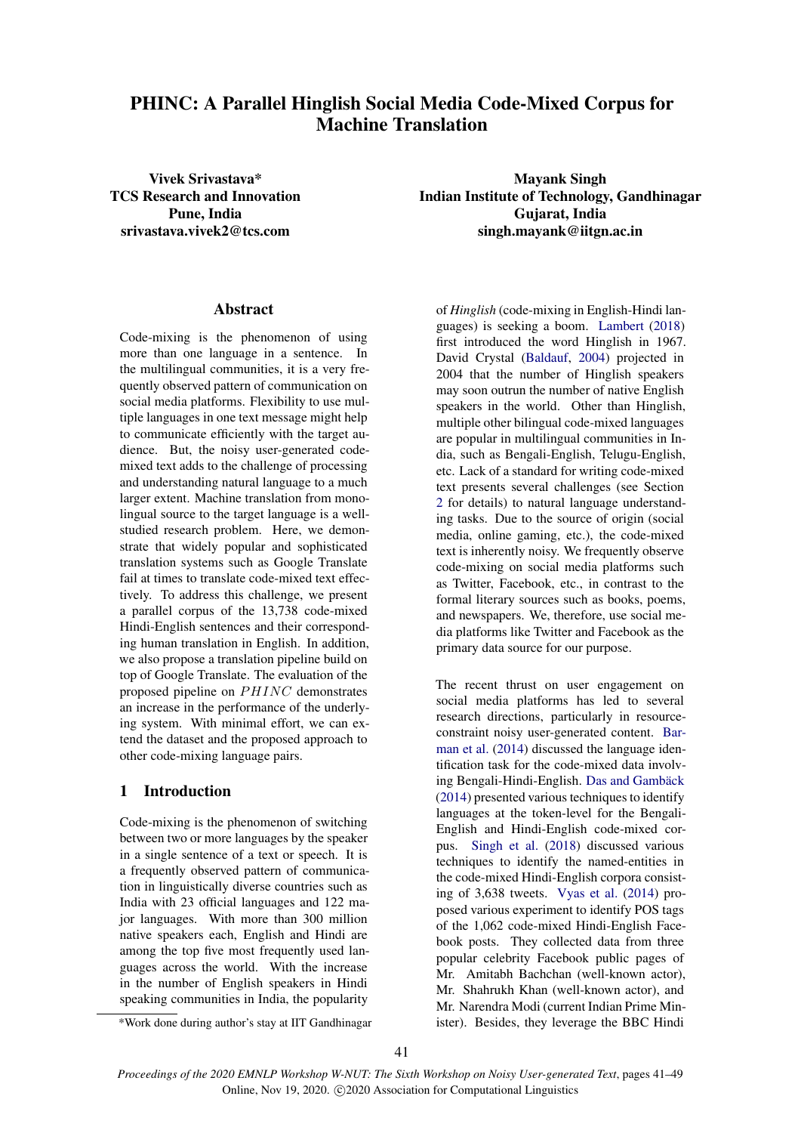# PHINC: A Parallel Hinglish Social Media Code-Mixed Corpus for Machine Translation

## Abstract

Code-mixing is the phenomenon of using more than one language in a sentence. In the multilingual communities, it is a very frequently observed pattern of communication on social media platforms. Flexibility to use multiple languages in one text message might help to communicate efficiently with the target audience. But, the noisy user-generated codemixed text adds to the challenge of processing and understanding natural language to a much larger extent. Machine translation from monolingual source to the target language is a wellstudied research problem. Here, we demonstrate that widely popular and sophisticated translation systems such as Google Translate fail at times to translate code-mixed text effectively. To address this challenge, we present a parallel corpus of the 13,738 code-mixed Hindi-English sentences and their corresponding human translation in English. In addition, we also propose a translation pipeline build on top of Google Translate. The evaluation of the proposed pipeline on  $PHINC$  demonstrates an increase in the performance of the underlying system. With minimal effort, we can extend the dataset and the proposed approach to other code-mixing language pairs.

## 1 Introduction

Code-mixing is the phenomenon of switching between two or more languages by the speaker in a single sentence of a text or speech. It is a frequently observed pattern of communication in linguistically diverse countries such as India with 23 official languages and 122 major languages. With more than 300 million native speakers each, English and Hindi are among the top five most frequently used languages across the world. With the increase in the number of English speakers in Hindi speaking communities in India, the popularity

Vivek Srivastava\* Mayank Singh TCS Research and Innovation<br>
Pune, Indian Institute of Technology, Gandhinagar<br>
Guiarat, India Gujarat, India srivastava.vivek2@tcs.com singh.mayank@iitgn.ac.in

> of *Hinglish* (code-mixing in English-Hindi languages) is seeking a boom. [Lambert](#page-8-0) [\(2018\)](#page-8-0) first introduced the word Hinglish in 1967. David Crystal [\(Baldauf,](#page-8-1) [2004\)](#page-8-1) projected in 2004 that the number of Hinglish speakers may soon outrun the number of native English speakers in the world. Other than Hinglish, multiple other bilingual code-mixed languages are popular in multilingual communities in India, such as Bengali-English, Telugu-English, etc. Lack of a standard for writing code-mixed text presents several challenges (see Section [2](#page-1-0) for details) to natural language understanding tasks. Due to the source of origin (social media, online gaming, etc.), the code-mixed text is inherently noisy. We frequently observe code-mixing on social media platforms such as Twitter, Facebook, etc., in contrast to the formal literary sources such as books, poems, and newspapers. We, therefore, use social media platforms like Twitter and Facebook as the primary data source for our purpose.

> The recent thrust on user engagement on social media platforms has led to several research directions, particularly in resourceconstraint noisy user-generated content. [Bar](#page-8-2)[man et al.](#page-8-2) [\(2014\)](#page-8-2) discussed the language identification task for the code-mixed data involving Bengali-Hindi-English. Das and Gambäck  $(2014)$  presented various techniques to identify languages at the token-level for the Bengali-English and Hindi-English code-mixed corpus. [Singh et al.](#page-8-4) [\(2018\)](#page-8-4) discussed various techniques to identify the named-entities in the code-mixed Hindi-English corpora consisting of 3,638 tweets. [Vyas et al.](#page-8-5) [\(2014\)](#page-8-5) proposed various experiment to identify POS tags of the 1,062 code-mixed Hindi-English Facebook posts. They collected data from three popular celebrity Facebook public pages of Mr. Amitabh Bachchan (well-known actor), Mr. Shahrukh Khan (well-known actor), and Mr. Narendra Modi (current Indian Prime Minister). Besides, they leverage the BBC Hindi

<sup>\*</sup>Work done during author's stay at IIT Gandhinagar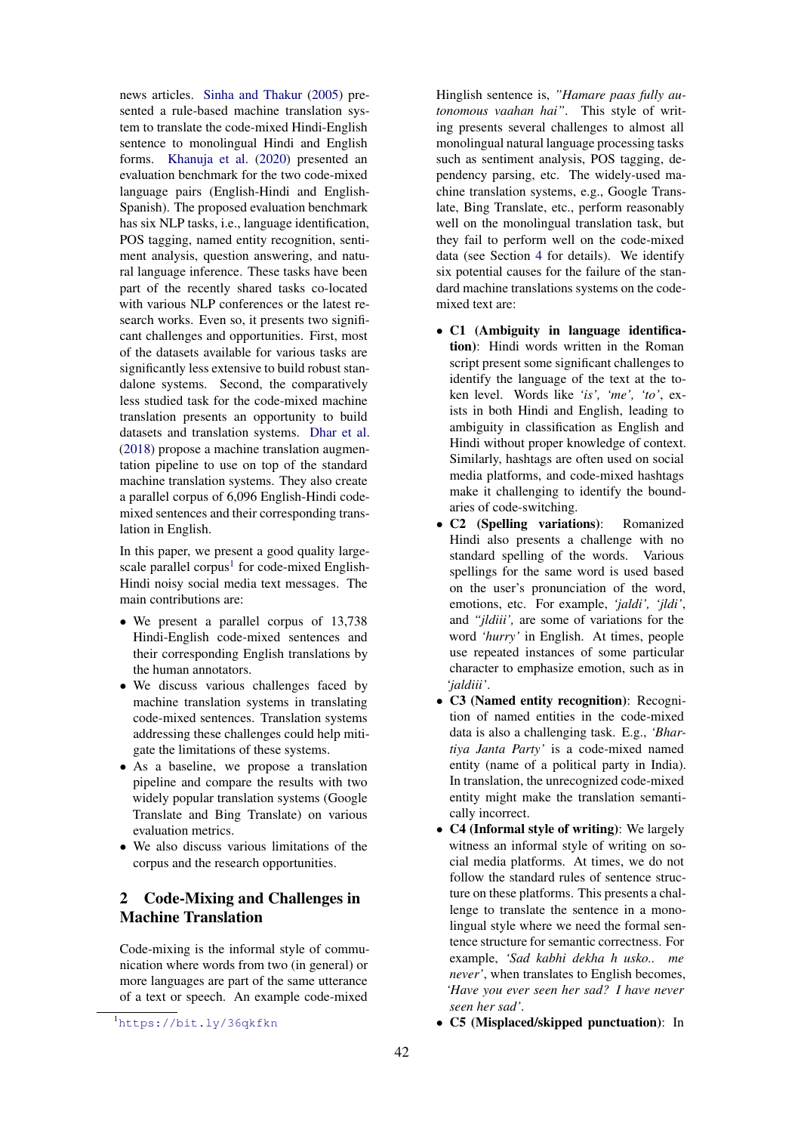news articles. [Sinha and Thakur](#page-8-6) [\(2005\)](#page-8-6) presented a rule-based machine translation system to translate the code-mixed Hindi-English sentence to monolingual Hindi and English forms. [Khanuja et al.](#page-8-7) [\(2020\)](#page-8-7) presented an evaluation benchmark for the two code-mixed language pairs (English-Hindi and English-Spanish). The proposed evaluation benchmark has six NLP tasks, i.e., language identification, POS tagging, named entity recognition, sentiment analysis, question answering, and natural language inference. These tasks have been part of the recently shared tasks co-located with various NLP conferences or the latest research works. Even so, it presents two significant challenges and opportunities. First, most of the datasets available for various tasks are significantly less extensive to build robust standalone systems. Second, the comparatively less studied task for the code-mixed machine translation presents an opportunity to build datasets and translation systems. [Dhar et al.](#page-8-8) [\(2018\)](#page-8-8) propose a machine translation augmentation pipeline to use on top of the standard machine translation systems. They also create a parallel corpus of 6,096 English-Hindi codemixed sentences and their corresponding translation in English.

In this paper, we present a good quality large-scale parallel corpus<sup>[1](#page-1-1)</sup> for code-mixed English-Hindi noisy social media text messages. The main contributions are:

- We present a parallel corpus of 13,738 Hindi-English code-mixed sentences and their corresponding English translations by the human annotators.
- We discuss various challenges faced by machine translation systems in translating code-mixed sentences. Translation systems addressing these challenges could help mitigate the limitations of these systems.
- As a baseline, we propose a translation pipeline and compare the results with two widely popular translation systems (Google Translate and Bing Translate) on various evaluation metrics.
- We also discuss various limitations of the corpus and the research opportunities.

## <span id="page-1-0"></span>2 Code-Mixing and Challenges in Machine Translation

Code-mixing is the informal style of communication where words from two (in general) or more languages are part of the same utterance of a text or speech. An example code-mixed

Hinglish sentence is, *"Hamare paas fully autonomous vaahan hai"*. This style of writing presents several challenges to almost all monolingual natural language processing tasks such as sentiment analysis, POS tagging, dependency parsing, etc. The widely-used machine translation systems, e.g., Google Translate, Bing Translate, etc., perform reasonably well on the monolingual translation task, but they fail to perform well on the code-mixed data (see Section [4](#page-5-0) for details). We identify six potential causes for the failure of the standard machine translations systems on the codemixed text are:

- C1 (Ambiguity in language identification): Hindi words written in the Roman script present some significant challenges to identify the language of the text at the token level. Words like *'is', 'me', 'to'*, exists in both Hindi and English, leading to ambiguity in classification as English and Hindi without proper knowledge of context. Similarly, hashtags are often used on social media platforms, and code-mixed hashtags make it challenging to identify the boundaries of code-switching.
- C2 (Spelling variations): Romanized Hindi also presents a challenge with no standard spelling of the words. Various spellings for the same word is used based on the user's pronunciation of the word, emotions, etc. For example, *'jaldi', 'jldi'*, and *"jldiii',* are some of variations for the word *'hurry'* in English. At times, people use repeated instances of some particular character to emphasize emotion, such as in *'jaldiii'*.
- C3 (Named entity recognition): Recognition of named entities in the code-mixed data is also a challenging task. E.g., *'Bhartiya Janta Party'* is a code-mixed named entity (name of a political party in India). In translation, the unrecognized code-mixed entity might make the translation semantically incorrect.
- C4 (Informal style of writing): We largely witness an informal style of writing on social media platforms. At times, we do not follow the standard rules of sentence structure on these platforms. This presents a challenge to translate the sentence in a monolingual style where we need the formal sentence structure for semantic correctness. For example, *'Sad kabhi dekha h usko.. me never'*, when translates to English becomes, *'Have you ever seen her sad? I have never seen her sad'*.
- C5 (Misplaced/skipped punctuation): In

<span id="page-1-1"></span><sup>1</sup><https://bit.ly/36qkfkn>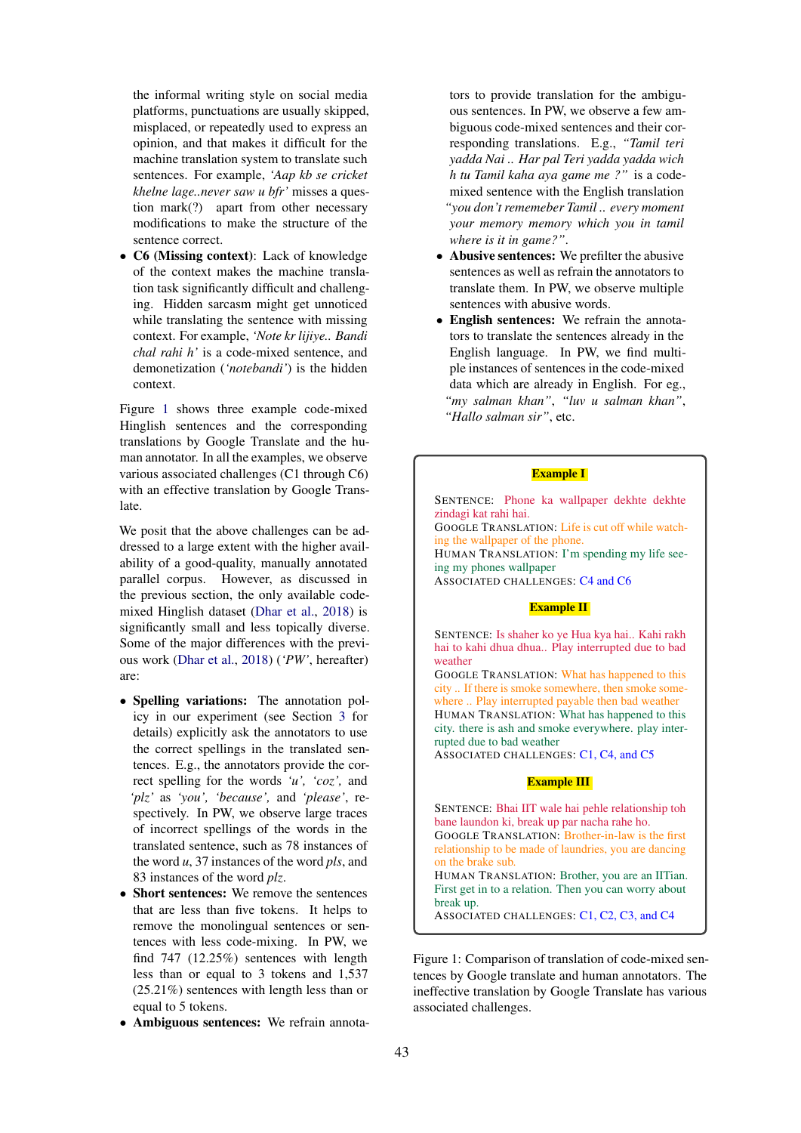the informal writing style on social media platforms, punctuations are usually skipped, misplaced, or repeatedly used to express an opinion, and that makes it difficult for the machine translation system to translate such sentences. For example, *'Aap kb se cricket khelne lage..never saw u bfr'* misses a question mark(?) apart from other necessary modifications to make the structure of the sentence correct.

• C6 (Missing context): Lack of knowledge of the context makes the machine translation task significantly difficult and challenging. Hidden sarcasm might get unnoticed while translating the sentence with missing context. For example, *'Note kr lijiye.. Bandi chal rahi h'* is a code-mixed sentence, and demonetization (*'notebandi'*) is the hidden context.

Figure [1](#page-2-0) shows three example code-mixed Hinglish sentences and the corresponding translations by Google Translate and the human annotator. In all the examples, we observe various associated challenges (C1 through C6) with an effective translation by Google Translate.

We posit that the above challenges can be addressed to a large extent with the higher availability of a good-quality, manually annotated parallel corpus. However, as discussed in the previous section, the only available codemixed Hinglish dataset [\(Dhar et al.,](#page-8-8) [2018\)](#page-8-8) is significantly small and less topically diverse. Some of the major differences with the previous work [\(Dhar et al.,](#page-8-8) [2018\)](#page-8-8) (*'PW'*, hereafter) are:

- Spelling variations: The annotation policy in our experiment (see Section [3](#page-3-0) for details) explicitly ask the annotators to use the correct spellings in the translated sentences. E.g., the annotators provide the correct spelling for the words *'u', 'coz',* and *'plz'* as *'you', 'because',* and *'please'*, respectively. In PW, we observe large traces of incorrect spellings of the words in the translated sentence, such as 78 instances of the word *u*, 37 instances of the word *pls*, and 83 instances of the word *plz*.
- Short sentences: We remove the sentences that are less than five tokens. It helps to remove the monolingual sentences or sentences with less code-mixing. In PW, we find 747 (12.25%) sentences with length less than or equal to 3 tokens and 1,537 (25.21%) sentences with length less than or equal to 5 tokens.
- Ambiguous sentences: We refrain annota-

tors to provide translation for the ambiguous sentences. In PW, we observe a few ambiguous code-mixed sentences and their corresponding translations. E.g., *"Tamil teri yadda Nai .. Har pal Teri yadda yadda wich h tu Tamil kaha aya game me ?"* is a codemixed sentence with the English translation *"you don't rememeber Tamil .. every moment your memory memory which you in tamil where is it in game?"*.

- Abusive sentences: We prefilter the abusive sentences as well as refrain the annotators to translate them. In PW, we observe multiple sentences with abusive words.
- English sentences: We refrain the annotators to translate the sentences already in the English language. In PW, we find multiple instances of sentences in the code-mixed data which are already in English. For eg., *"my salman khan"*, *"luv u salman khan"*, *"Hallo salman sir"*, etc.

#### Example I

<span id="page-2-0"></span>SENTENCE: Phone ka wallpaper dekhte dekhte zindagi kat rahi hai. GOOGLE TRANSLATION: Life is cut off while watching the wallpaper of the phone. HUMAN TRANSLATION: I'm spending my life seeing my phones wallpaper ASSOCIATED CHALLENGES: C4 and C6

#### Example II

SENTENCE: Is shaher ko ye Hua kya hai.. Kahi rakh hai to kahi dhua dhua.. Play interrupted due to bad weather

GOOGLE TRANSLATION: What has happened to this city .. If there is smoke somewhere, then smoke somewhere .. Play interrupted payable then bad weather HUMAN TRANSLATION: What has happened to this city. there is ash and smoke everywhere. play interrupted due to bad weather ASSOCIATED CHALLENGES: C1, C4, and C5

#### Example III

SENTENCE: Bhai IIT wale hai pehle relationship toh bane laundon ki, break up par nacha rahe ho. GOOGLE TRANSLATION: Brother-in-law is the first relationship to be made of laundries, you are dancing on the brake sub. HUMAN TRANSLATION: Brother, you are an IITian. First get in to a relation. Then you can worry about break up. ASSOCIATED CHALLENGES: C1, C2, C3, and C4

Figure 1: Comparison of translation of code-mixed sentences by Google translate and human annotators. The ineffective translation by Google Translate has various associated challenges.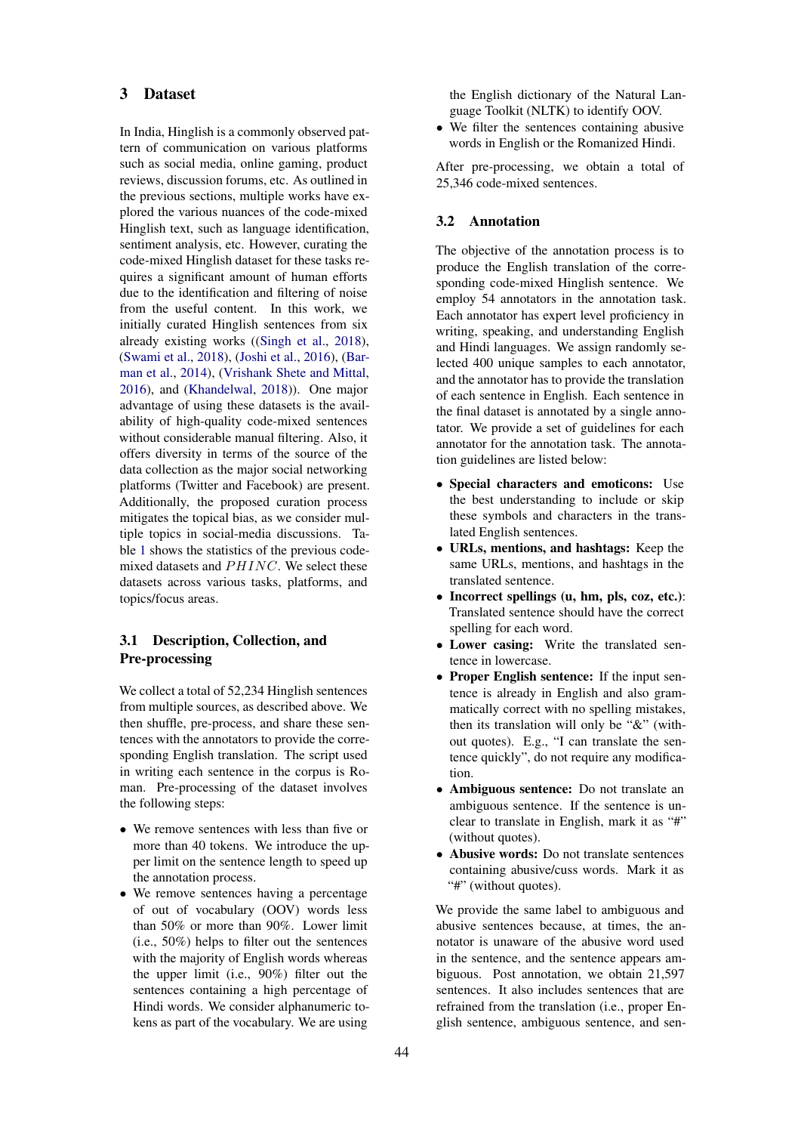### <span id="page-3-0"></span>3 Dataset

In India, Hinglish is a commonly observed pattern of communication on various platforms such as social media, online gaming, product reviews, discussion forums, etc. As outlined in the previous sections, multiple works have explored the various nuances of the code-mixed Hinglish text, such as language identification, sentiment analysis, etc. However, curating the code-mixed Hinglish dataset for these tasks requires a significant amount of human efforts due to the identification and filtering of noise from the useful content. In this work, we initially curated Hinglish sentences from six already existing works ([\(Singh et al.,](#page-8-4) [2018\)](#page-8-4), [\(Swami et al.,](#page-8-9) [2018\)](#page-8-9), [\(Joshi et al.,](#page-8-10) [2016\)](#page-8-10), [\(Bar](#page-8-2)[man et al.,](#page-8-2) [2014\)](#page-8-2), [\(Vrishank Shete and Mittal,](#page-8-11) [2016\)](#page-8-11), and [\(Khandelwal,](#page-8-12) [2018\)](#page-8-12)). One major advantage of using these datasets is the availability of high-quality code-mixed sentences without considerable manual filtering. Also, it offers diversity in terms of the source of the data collection as the major social networking platforms (Twitter and Facebook) are present. Additionally, the proposed curation process mitigates the topical bias, as we consider multiple topics in social-media discussions. Table [1](#page-4-0) shows the statistics of the previous codemixed datasets and  $PHINC$ . We select these datasets across various tasks, platforms, and topics/focus areas.

## 3.1 Description, Collection, and Pre-processing

We collect a total of 52,234 Hinglish sentences from multiple sources, as described above. We then shuffle, pre-process, and share these sentences with the annotators to provide the corresponding English translation. The script used in writing each sentence in the corpus is Roman. Pre-processing of the dataset involves the following steps:

- We remove sentences with less than five or more than 40 tokens. We introduce the upper limit on the sentence length to speed up the annotation process.
- We remove sentences having a percentage of out of vocabulary (OOV) words less than 50% or more than 90%. Lower limit (i.e., 50%) helps to filter out the sentences with the majority of English words whereas the upper limit (i.e., 90%) filter out the sentences containing a high percentage of Hindi words. We consider alphanumeric tokens as part of the vocabulary. We are using

the English dictionary of the Natural Language Toolkit (NLTK) to identify OOV.

• We filter the sentences containing abusive words in English or the Romanized Hindi.

After pre-processing, we obtain a total of 25,346 code-mixed sentences.

### 3.2 Annotation

The objective of the annotation process is to produce the English translation of the corresponding code-mixed Hinglish sentence. We employ 54 annotators in the annotation task. Each annotator has expert level proficiency in writing, speaking, and understanding English and Hindi languages. We assign randomly selected 400 unique samples to each annotator, and the annotator has to provide the translation of each sentence in English. Each sentence in the final dataset is annotated by a single annotator. We provide a set of guidelines for each annotator for the annotation task. The annotation guidelines are listed below:

- Special characters and emoticons: Use the best understanding to include or skip these symbols and characters in the translated English sentences.
- URLs, mentions, and hashtags: Keep the same URLs, mentions, and hashtags in the translated sentence.
- Incorrect spellings (u, hm, pls, coz, etc.): Translated sentence should have the correct spelling for each word.
- Lower casing: Write the translated sentence in lowercase.
- Proper English sentence: If the input sentence is already in English and also grammatically correct with no spelling mistakes, then its translation will only be "&" (without quotes). E.g., "I can translate the sentence quickly", do not require any modification.
- Ambiguous sentence: Do not translate an ambiguous sentence. If the sentence is unclear to translate in English, mark it as "#" (without quotes).
- Abusive words: Do not translate sentences containing abusive/cuss words. Mark it as "#" (without quotes).

We provide the same label to ambiguous and abusive sentences because, at times, the annotator is unaware of the abusive word used in the sentence, and the sentence appears ambiguous. Post annotation, we obtain 21,597 sentences. It also includes sentences that are refrained from the translation (i.e., proper English sentence, ambiguous sentence, and sen-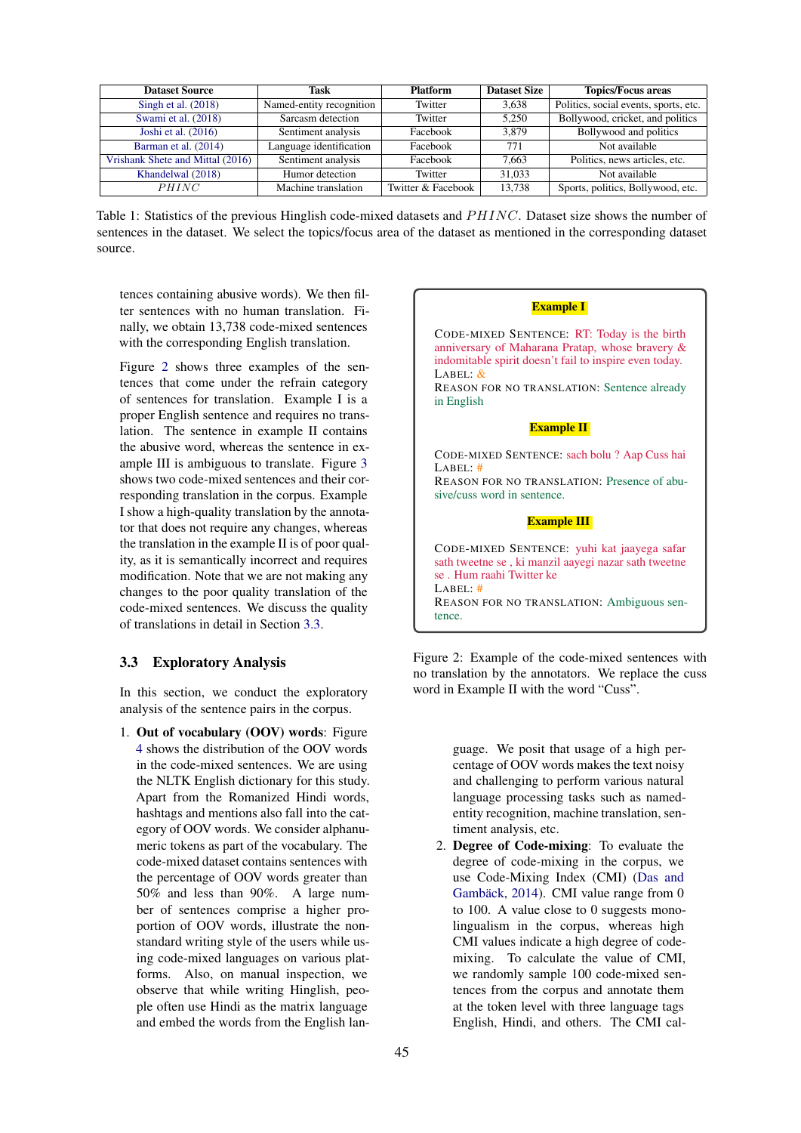<span id="page-4-0"></span>

| <b>Dataset Source</b>            | Task                     | <b>Platform</b>    | <b>Dataset Size</b> | <b>Topics/Focus areas</b>             |
|----------------------------------|--------------------------|--------------------|---------------------|---------------------------------------|
| Singh et al. $(2018)$            | Named-entity recognition | Twitter            | 3.638               | Politics, social events, sports, etc. |
| Swami et al. (2018)              | Sarcasm detection        | Twitter            | 5.250               | Bollywood, cricket, and politics      |
| Joshi et al. $(2016)$            | Sentiment analysis       | Facebook           | 3.879               | Bollywood and politics                |
| Barman et al. (2014)             | Language identification  | Facebook           | 771                 | Not available                         |
| Vrishank Shete and Mittal (2016) | Sentiment analysis       | Facebook           | 7.663               | Politics, news articles, etc.         |
| Khandelwal (2018)                | Humor detection          | Twitter            | 31.033              | Not available                         |
| PHINC                            | Machine translation      | Twitter & Facebook | 13.738              | Sports, politics, Bollywood, etc.     |

Table 1: Statistics of the previous Hinglish code-mixed datasets and PHINC. Dataset size shows the number of sentences in the dataset. We select the topics/focus area of the dataset as mentioned in the corresponding dataset source.

tences containing abusive words). We then filter sentences with no human translation. Finally, we obtain 13,738 code-mixed sentences with the corresponding English translation.

Figure [2](#page-4-1) shows three examples of the sentences that come under the refrain category of sentences for translation. Example I is a proper English sentence and requires no translation. The sentence in example II contains the abusive word, whereas the sentence in example III is ambiguous to translate. Figure [3](#page-5-1) shows two code-mixed sentences and their corresponding translation in the corpus. Example I show a high-quality translation by the annotator that does not require any changes, whereas the translation in the example II is of poor quality, as it is semantically incorrect and requires modification. Note that we are not making any changes to the poor quality translation of the code-mixed sentences. We discuss the quality of translations in detail in Section [3.3.](#page-4-2)

## <span id="page-4-2"></span>3.3 Exploratory Analysis

In this section, we conduct the exploratory analysis of the sentence pairs in the corpus.

1. Out of vocabulary (OOV) words: Figure [4](#page-5-2) shows the distribution of the OOV words in the code-mixed sentences. We are using the NLTK English dictionary for this study. Apart from the Romanized Hindi words, hashtags and mentions also fall into the category of OOV words. We consider alphanumeric tokens as part of the vocabulary. The code-mixed dataset contains sentences with the percentage of OOV words greater than 50% and less than 90%. A large number of sentences comprise a higher proportion of OOV words, illustrate the nonstandard writing style of the users while using code-mixed languages on various platforms. Also, on manual inspection, we observe that while writing Hinglish, people often use Hindi as the matrix language and embed the words from the English lan-

### Example I

<span id="page-4-1"></span>CODE-MIXED SENTENCE: RT: Today is the birth anniversary of Maharana Pratap, whose bravery & indomitable spirit doesn't fail to inspire even today. LABEL: &

REASON FOR NO TRANSLATION: Sentence already in English

### Example II

CODE-MIXED SENTENCE: sach bolu ? Aap Cuss hai  $LAPEL:$ REASON FOR NO TRANSLATION: Presence of abusive/cuss word in sentence. Example III CODE-MIXED SENTENCE: yuhi kat jaayega safar sath tweetne se , ki manzil aayegi nazar sath tweetne se . Hum raahi Twitter ke LABEL: #

REASON FOR NO TRANSLATION: Ambiguous sentence.

Figure 2: Example of the code-mixed sentences with no translation by the annotators. We replace the cuss word in Example II with the word "Cuss".

> guage. We posit that usage of a high percentage of OOV words makes the text noisy and challenging to perform various natural language processing tasks such as namedentity recognition, machine translation, sentiment analysis, etc.

2. Degree of Code-mixing: To evaluate the degree of code-mixing in the corpus, we use Code-Mixing Index (CMI) [\(Das and](#page-8-3) Gambäck,  $2014$ ). CMI value range from 0 to 100. A value close to 0 suggests monolingualism in the corpus, whereas high CMI values indicate a high degree of codemixing. To calculate the value of CMI, we randomly sample 100 code-mixed sentences from the corpus and annotate them at the token level with three language tags English, Hindi, and others. The CMI cal-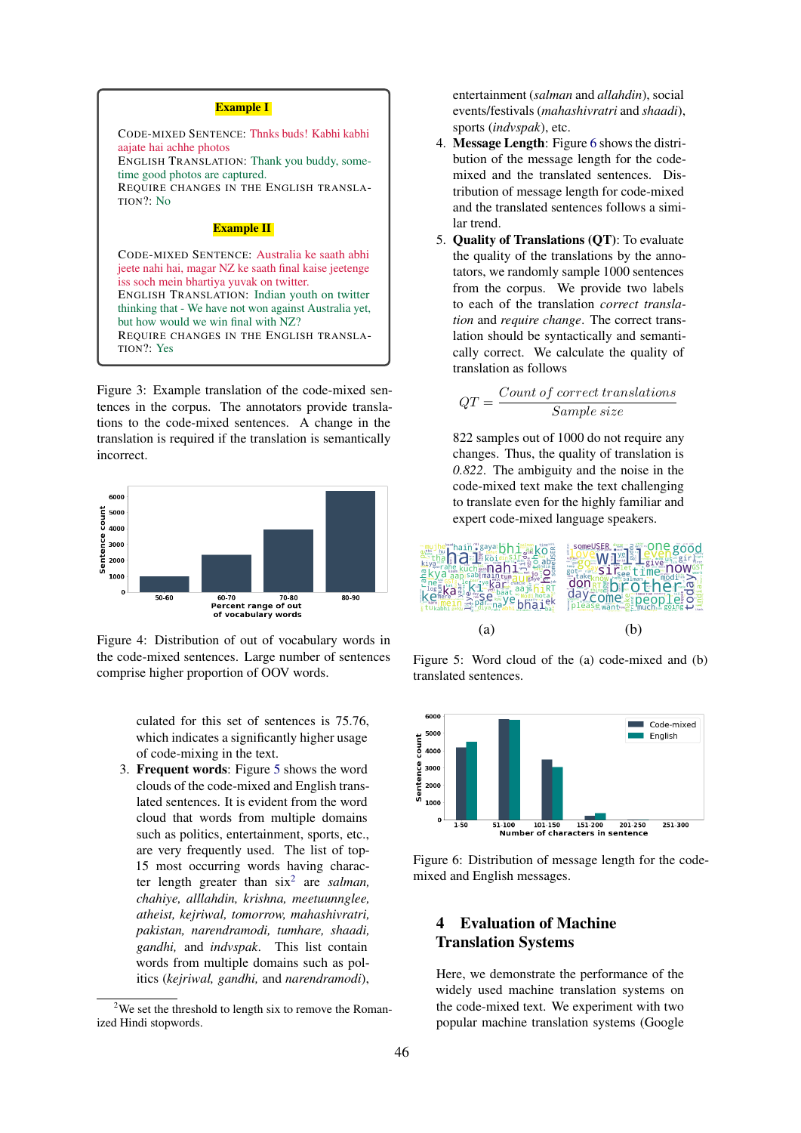#### Example I

<span id="page-5-1"></span>CODE-MIXED SENTENCE: Thnks buds! Kabhi kabhi aajate hai achhe photos ENGLISH TRANSLATION: Thank you buddy, sometime good photos are captured. REQUIRE CHANGES IN THE ENGLISH TRANSLA-TION?: No

### **Example II**

CODE-MIXED SENTENCE: Australia ke saath abhi jeete nahi hai, magar NZ ke saath final kaise jeetenge iss soch mein bhartiya yuvak on twitter. ENGLISH TRANSLATION: Indian youth on twitter thinking that - We have not won against Australia yet, but how would we win final with NZ? REQUIRE CHANGES IN THE ENGLISH TRANSLA-TION?: Yes

Figure 3: Example translation of the code-mixed sentences in the corpus. The annotators provide translations to the code-mixed sentences. A change in the translation is required if the translation is semantically incorrect.

<span id="page-5-2"></span>

Figure 4: Distribution of out of vocabulary words in the code-mixed sentences. Large number of sentences comprise higher proportion of OOV words.

culated for this set of sentences is 75.76, which indicates a significantly higher usage of code-mixing in the text.

3. Frequent words: Figure [5](#page-5-3) shows the word clouds of the code-mixed and English translated sentences. It is evident from the word cloud that words from multiple domains such as politics, entertainment, sports, etc., are very frequently used. The list of top-15 most occurring words having character length greater than six[2](#page-5-4) are *salman, chahiye, alllahdin, krishna, meetuunnglee, atheist, kejriwal, tomorrow, mahashivratri, pakistan, narendramodi, tumhare, shaadi, gandhi,* and *indvspak*. This list contain words from multiple domains such as politics (*kejriwal, gandhi,* and *narendramodi*),

entertainment (*salman* and *allahdin*), social events/festivals (*mahashivratri* and *shaadi*), sports (*indvspak*), etc.

- 4. Message Length: Figure [6](#page-5-5) shows the distribution of the message length for the codemixed and the translated sentences. Distribution of message length for code-mixed and the translated sentences follows a similar trend.
- 5. Quality of Translations (QT): To evaluate the quality of the translations by the annotators, we randomly sample 1000 sentences from the corpus. We provide two labels to each of the translation *correct translation* and *require change*. The correct translation should be syntactically and semantically correct. We calculate the quality of translation as follows

$$
QT = \frac{Count\ of\ correct\ translations}{Sample\ size}
$$

822 samples out of 1000 do not require any changes. Thus, the quality of translation is *0.822*. The ambiguity and the noise in the code-mixed text make the text challenging to translate even for the highly familiar and expert code-mixed language speakers.

<span id="page-5-3"></span>

Figure 5: Word cloud of the (a) code-mixed and (b) translated sentences.

<span id="page-5-5"></span>

Figure 6: Distribution of message length for the codemixed and English messages.

## <span id="page-5-0"></span>4 Evaluation of Machine Translation Systems

Here, we demonstrate the performance of the widely used machine translation systems on the code-mixed text. We experiment with two popular machine translation systems (Google

<span id="page-5-4"></span><sup>&</sup>lt;sup>2</sup>We set the threshold to length six to remove the Romanized Hindi stopwords.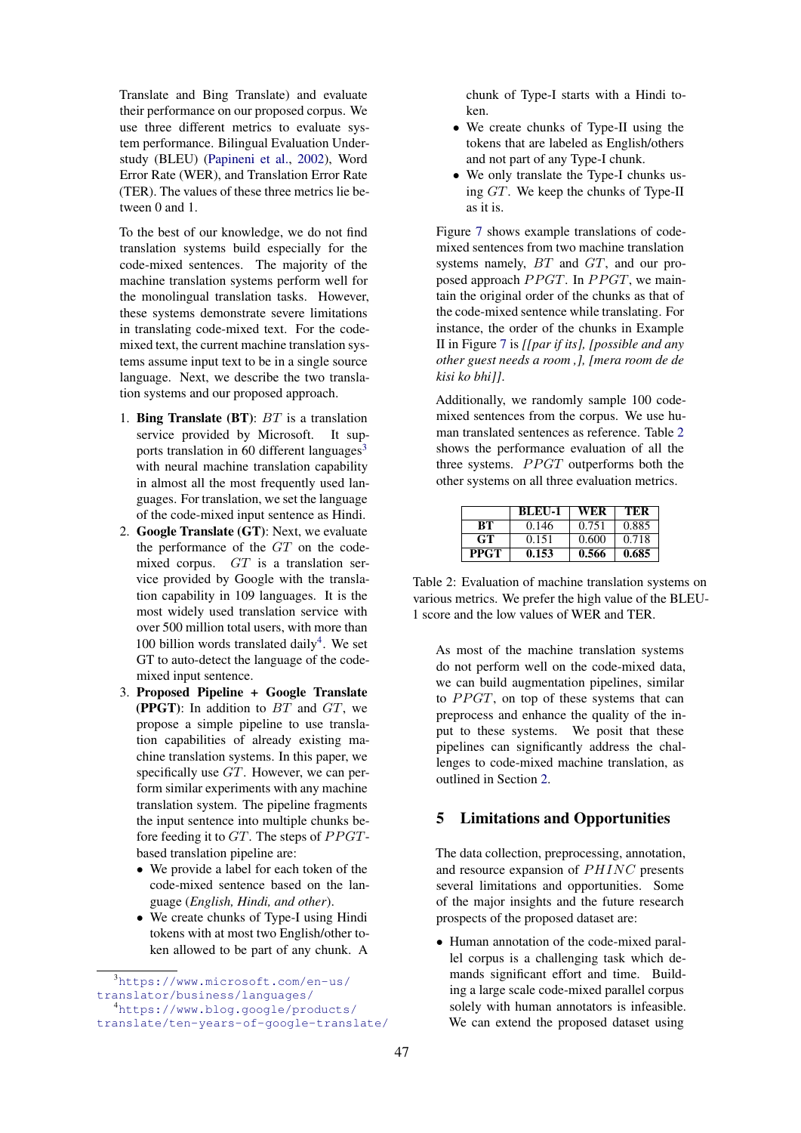Translate and Bing Translate) and evaluate their performance on our proposed corpus. We use three different metrics to evaluate system performance. Bilingual Evaluation Understudy (BLEU) [\(Papineni et al.,](#page-8-13) [2002\)](#page-8-13), Word Error Rate (WER), and Translation Error Rate (TER). The values of these three metrics lie between 0 and 1.

To the best of our knowledge, we do not find translation systems build especially for the code-mixed sentences. The majority of the machine translation systems perform well for the monolingual translation tasks. However, these systems demonstrate severe limitations in translating code-mixed text. For the codemixed text, the current machine translation systems assume input text to be in a single source language. Next, we describe the two translation systems and our proposed approach.

- 1. Bing Translate (BT):  $BT$  is a translation service provided by Microsoft. It supports translation in 60 different languages $3$ with neural machine translation capability in almost all the most frequently used languages. For translation, we set the language of the code-mixed input sentence as Hindi.
- 2. Google Translate (GT): Next, we evaluate the performance of the  $GT$  on the codemixed corpus. GT is a translation service provided by Google with the translation capability in 109 languages. It is the most widely used translation service with over 500 million total users, with more than 100 billion words translated daily<sup>[4](#page-6-1)</sup>. We set GT to auto-detect the language of the codemixed input sentence.
- 3. Proposed Pipeline + Google Translate (PPGT): In addition to  $BT$  and  $GT$ , we propose a simple pipeline to use translation capabilities of already existing machine translation systems. In this paper, we specifically use GT. However, we can perform similar experiments with any machine translation system. The pipeline fragments the input sentence into multiple chunks before feeding it to  $GT$ . The steps of  $PPGT$ based translation pipeline are:
	- We provide a label for each token of the code-mixed sentence based on the language (*English, Hindi, and other*).
	- We create chunks of Type-I using Hindi tokens with at most two English/other token allowed to be part of any chunk. A

chunk of Type-I starts with a Hindi token.

- We create chunks of Type-II using the tokens that are labeled as English/others and not part of any Type-I chunk.
- We only translate the Type-I chunks using GT. We keep the chunks of Type-II as it is.

Figure [7](#page-7-0) shows example translations of codemixed sentences from two machine translation systems namely, BT and GT, and our proposed approach  $PPGT$ . In  $PPGT$ , we maintain the original order of the chunks as that of the code-mixed sentence while translating. For instance, the order of the chunks in Example II in Figure [7](#page-7-0) is *[[par if its], [possible and any other guest needs a room ,], [mera room de de kisi ko bhi]]*.

Additionally, we randomly sample 100 codemixed sentences from the corpus. We use human translated sentences as reference. Table [2](#page-6-2) shows the performance evaluation of all the three systems.  $PPGT$  outperforms both the other systems on all three evaluation metrics.

<span id="page-6-2"></span>

|      | <b>BLEU-1</b> | WER   | TER   |
|------|---------------|-------|-------|
| BТ   | 0.146         | 0.751 | 0.885 |
| GT.  | 0.151         | 0.600 | 0.718 |
| PPGT | 0.153         | 0.566 | 0.685 |

Table 2: Evaluation of machine translation systems on various metrics. We prefer the high value of the BLEU-1 score and the low values of WER and TER.

As most of the machine translation systems do not perform well on the code-mixed data, we can build augmentation pipelines, similar to  $PPGT$ , on top of these systems that can preprocess and enhance the quality of the input to these systems. We posit that these pipelines can significantly address the challenges to code-mixed machine translation, as outlined in Section [2.](#page-1-0)

## 5 Limitations and Opportunities

The data collection, preprocessing, annotation, and resource expansion of  $PHINC$  presents several limitations and opportunities. Some of the major insights and the future research prospects of the proposed dataset are:

• Human annotation of the code-mixed parallel corpus is a challenging task which demands significant effort and time. Building a large scale code-mixed parallel corpus solely with human annotators is infeasible. We can extend the proposed dataset using

<span id="page-6-0"></span><sup>3</sup>[https://www.microsoft.com/en-us/](https://www.microsoft.com/en-us/translator/business/languages/) [translator/business/languages/](https://www.microsoft.com/en-us/translator/business/languages/)

<span id="page-6-1"></span><sup>4</sup>[https://www.blog.google/products/](https://www.blog.google/products/translate/ten-years-of-google-translate/)

[translate/ten-years-of-google-translate/](https://www.blog.google/products/translate/ten-years-of-google-translate/)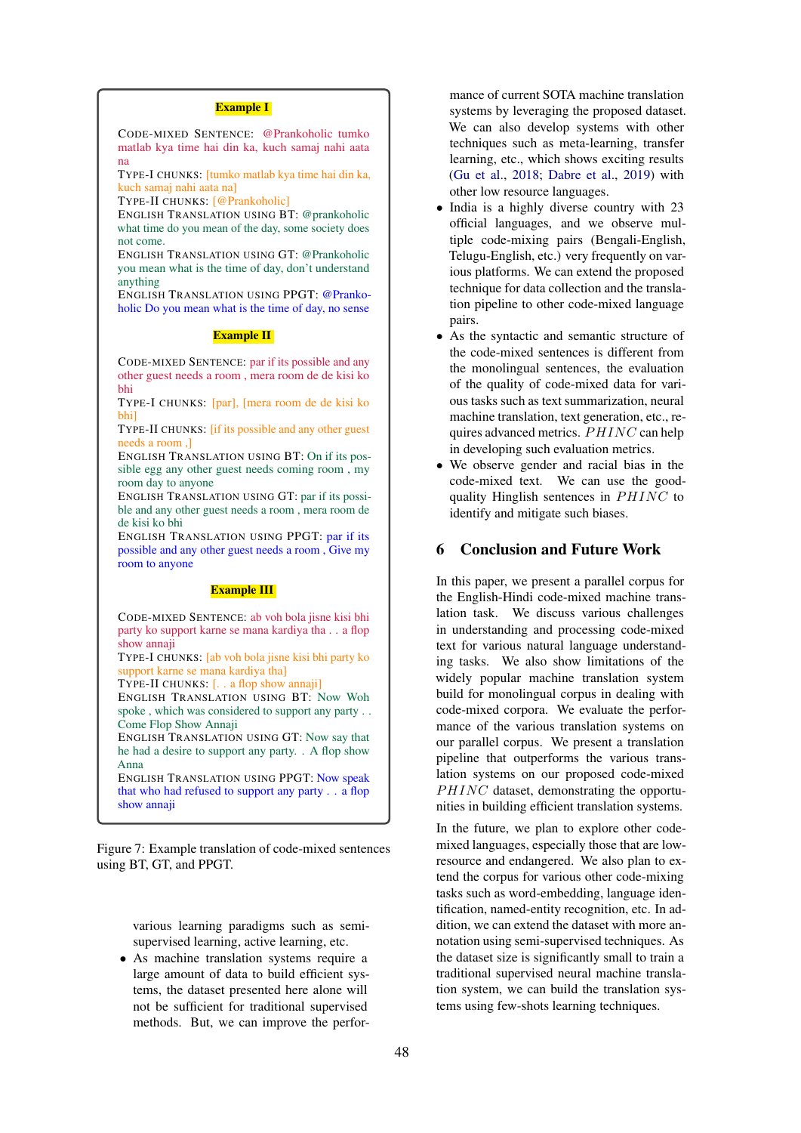#### Example I

<span id="page-7-0"></span>CODE-MIXED SENTENCE: @Prankoholic tumko matlab kya time hai din ka, kuch samaj nahi aata na

TYPE-I CHUNKS: [tumko matlab kya time hai din ka, kuch samaj nahi aata na]

TYPE-II CHUNKS: [@Prankoholic]

ENGLISH TRANSLATION USING BT: @prankoholic what time do you mean of the day, some society does not come.

ENGLISH TRANSLATION USING GT: @Prankoholic you mean what is the time of day, don't understand anything

ENGLISH TRANSLATION USING PPGT: @Prankoholic Do you mean what is the time of day, no sense

#### Example II

CODE-MIXED SENTENCE: par if its possible and any other guest needs a room , mera room de de kisi ko bhi

TYPE-I CHUNKS: [par], [mera room de de kisi ko bhi]

TYPE-II CHUNKS: [if its possible and any other guest needs a room ,]

ENGLISH TRANSLATION USING BT: On if its possible egg any other guest needs coming room , my room day to anyone

ENGLISH TRANSLATION USING GT: par if its possible and any other guest needs a room , mera room de de kisi ko bhi

ENGLISH TRANSLATION USING PPGT: par if its possible and any other guest needs a room , Give my room to anyone

#### **Example III**

CODE-MIXED SENTENCE: ab voh bola jisne kisi bhi party ko support karne se mana kardiya tha . . a flop show annaji

TYPE-I CHUNKS: [ab voh bola jisne kisi bhi party ko support karne se mana kardiya tha]

TYPE-II CHUNKS: [. . a flop show annaji]

ENGLISH TRANSLATION USING BT: Now Woh spoke , which was considered to support any party . . Come Flop Show Annaji

ENGLISH TRANSLATION USING GT: Now say that he had a desire to support any party. . A flop show Anna

ENGLISH TRANSLATION USING PPGT: Now speak that who had refused to support any party . . a flop show annaii

Figure 7: Example translation of code-mixed sentences using BT, GT, and PPGT.

> various learning paradigms such as semisupervised learning, active learning, etc.

As machine translation systems require a large amount of data to build efficient systems, the dataset presented here alone will not be sufficient for traditional supervised methods. But, we can improve the performance of current SOTA machine translation systems by leveraging the proposed dataset. We can also develop systems with other techniques such as meta-learning, transfer learning, etc., which shows exciting results [\(Gu et al.,](#page-8-14) [2018;](#page-8-14) [Dabre et al.,](#page-8-15) [2019\)](#page-8-15) with other low resource languages.

- India is a highly diverse country with 23 official languages, and we observe multiple code-mixing pairs (Bengali-English, Telugu-English, etc.) very frequently on various platforms. We can extend the proposed technique for data collection and the translation pipeline to other code-mixed language pairs.
- As the syntactic and semantic structure of the code-mixed sentences is different from the monolingual sentences, the evaluation of the quality of code-mixed data for various tasks such as text summarization, neural machine translation, text generation, etc., requires advanced metrics.  $PHINC$  can help in developing such evaluation metrics.
- We observe gender and racial bias in the code-mixed text. We can use the goodquality Hinglish sentences in  $PHINC$  to identify and mitigate such biases.

## 6 Conclusion and Future Work

In this paper, we present a parallel corpus for the English-Hindi code-mixed machine translation task. We discuss various challenges in understanding and processing code-mixed text for various natural language understanding tasks. We also show limitations of the widely popular machine translation system build for monolingual corpus in dealing with code-mixed corpora. We evaluate the performance of the various translation systems on our parallel corpus. We present a translation pipeline that outperforms the various translation systems on our proposed code-mixed  $PHINC$  dataset, demonstrating the opportunities in building efficient translation systems.

In the future, we plan to explore other codemixed languages, especially those that are lowresource and endangered. We also plan to extend the corpus for various other code-mixing tasks such as word-embedding, language identification, named-entity recognition, etc. In addition, we can extend the dataset with more annotation using semi-supervised techniques. As the dataset size is significantly small to train a traditional supervised neural machine translation system, we can build the translation systems using few-shots learning techniques.